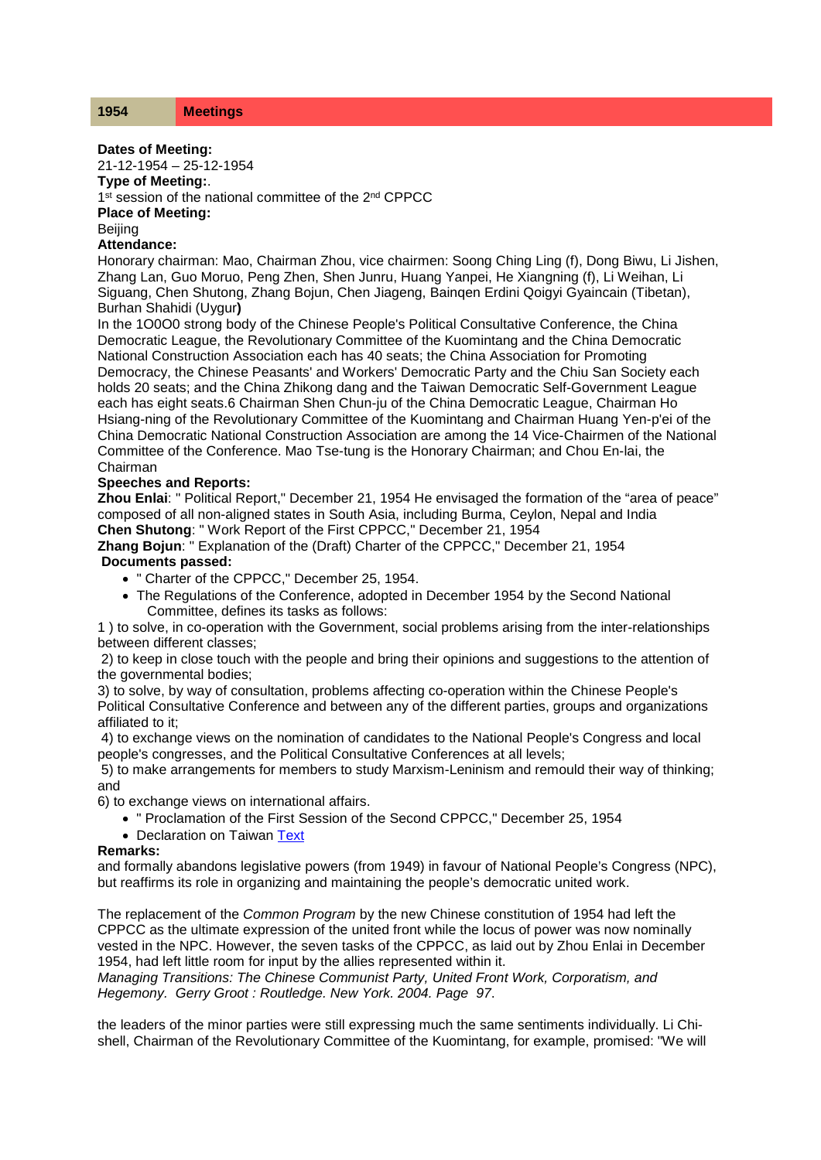## **Dates of Meeting:**

21-12-1954 – 25-12-1954

**Type of Meeting:**.

1<sup>st</sup> session of the national committee of the 2<sup>nd</sup> CPPCC

**Place of Meeting:**

**Beiling** 

## **Attendance:**

Honorary chairman: Mao, Chairman Zhou, vice chairmen: Soong Ching Ling (f), Dong Biwu, Li Jishen, Zhang Lan, Guo Moruo, Peng Zhen, Shen Junru, Huang Yanpei, He Xiangning (f), Li Weihan, Li Siguang, Chen Shutong, Zhang Bojun, Chen Jiageng, Bainqen Erdini Qoigyi Gyaincain (Tibetan), Burhan Shahidi (Uygur**)**

In the 1O0O0 strong body of the Chinese People's Political Consultative Conference, the China Democratic League, the Revolutionary Committee of the Kuomintang and the China Democratic National Construction Association each has 40 seats; the China Association for Promoting Democracy, the Chinese Peasants' and Workers' Democratic Party and the Chiu San Society each holds 20 seats; and the China Zhikong dang and the Taiwan Democratic Self-Government League each has eight seats.6 Chairman Shen Chun-ju of the China Democratic League, Chairman Ho Hsiang-ning of the Revolutionary Committee of the Kuomintang and Chairman Huang Yen-p'ei of the China Democratic National Construction Association are among the 14 Vice-Chairmen of the National Committee of the Conference. Mao Tse-tung is the Honorary Chairman; and Chou En-lai, the Chairman

## **Speeches and Reports:**

**Zhou Enlai**: " Political Report," December 21, 1954 He envisaged the formation of the "area of peace" composed of all non-aligned states in South Asia, including Burma, Ceylon, Nepal and India **Chen Shutong**: " Work Report of the First CPPCC," December 21, 1954

**Zhang Bojun**: " Explanation of the (Draft) Charter of the CPPCC," December 21, 1954 **Documents passed:**

- " Charter of the CPPCC," December 25, 1954.
- The Regulations of the Conference, adopted in December 1954 by the Second National Committee, defines its tasks as follows:

1 ) to solve, in co-operation with the Government, social problems arising from the inter-relationships between different classes;

2) to keep in close touch with the people and bring their opinions and suggestions to the attention of the governmental bodies;

3) to solve, by way of consultation, problems affecting co-operation within the Chinese People's Political Consultative Conference and between any of the different parties, groups and organizations affiliated to it;

4) to exchange views on the nomination of candidates to the National People's Congress and local people's congresses, and the Political Consultative Conferences at all levels;

5) to make arrangements for members to study Marxism-Leninism and remould their way of thinking; and

6) to exchange views on international affairs.

- " Proclamation of the First Session of the Second CPPCC," December 25, 1954
- Declaration on Taiwan Text

## **Remarks:**

and formally abandons legislative powers (from 1949) in favour of National People's Congress (NPC), but reaffirms its role in organizing and maintaining the people's democratic united work.

The replacement of the *Common Program* by the new Chinese constitution of 1954 had left the CPPCC as the ultimate expression of the united front while the locus of power was now nominally vested in the NPC. However, the seven tasks of the CPPCC, as laid out by Zhou Enlai in December 1954, had left little room for input by the allies represented within it.

*Managing Transitions: The Chinese Communist Party, United Front Work, Corporatism, and Hegemony. Gerry Groot : Routledge. New York. 2004. Page 97*.

the leaders of the minor parties were still expressing much the same sentiments individually. Li Chishell, Chairman of the Revolutionary Committee of the Kuomintang, for example, promised: "We will